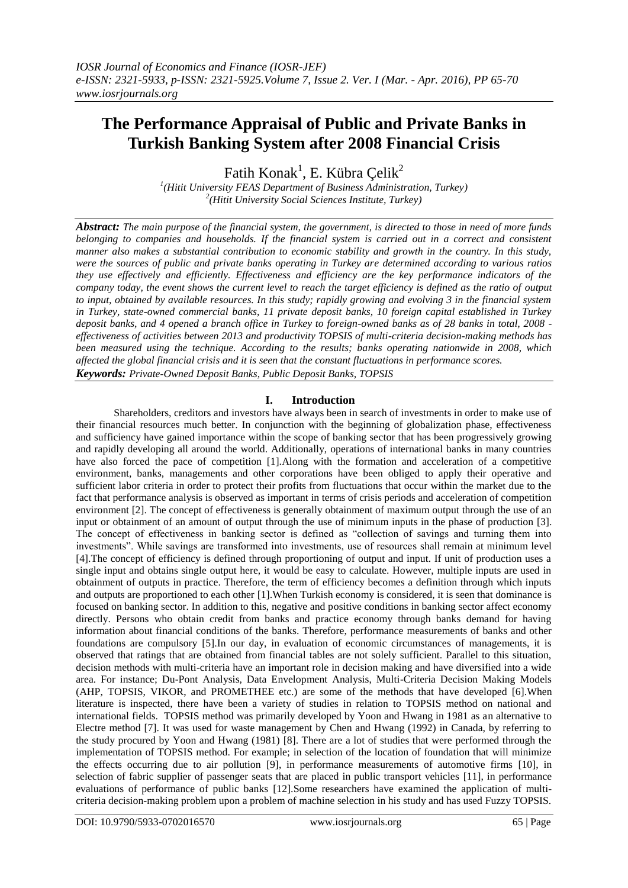# **The Performance Appraisal of Public and Private Banks in Turkish Banking System after 2008 Financial Crisis**

Fatih Konak<sup>1</sup>, E. Kübra Çelik<sup>2</sup>

*1 (Hitit University FEAS Department of Business Administration, Turkey) 2 (Hitit University Social Sciences Institute, Turkey)*

*Abstract: The main purpose of the financial system, the government, is directed to those in need of more funds belonging to companies and households. If the financial system is carried out in a correct and consistent manner also makes a substantial contribution to economic stability and growth in the country. In this study, were the sources of public and private banks operating in Turkey are determined according to various ratios they use effectively and efficiently. Effectiveness and efficiency are the key performance indicators of the company today, the event shows the current level to reach the target efficiency is defined as the ratio of output to input, obtained by available resources. In this study; rapidly growing and evolving 3 in the financial system in Turkey, state-owned commercial banks, 11 private deposit banks, 10 foreign capital established in Turkey deposit banks, and 4 opened a branch office in Turkey to foreign-owned banks as of 28 banks in total, 2008 effectiveness of activities between 2013 and productivity TOPSIS of multi-criteria decision-making methods has been measured using the technique. According to the results; banks operating nationwide in 2008, which affected the global financial crisis and it is seen that the constant fluctuations in performance scores. Keywords: Private-Owned Deposit Banks, Public Deposit Banks, TOPSIS*

# **I. Introduction**

Shareholders, creditors and investors have always been in search of investments in order to make use of their financial resources much better. In conjunction with the beginning of globalization phase, effectiveness and sufficiency have gained importance within the scope of banking sector that has been progressively growing and rapidly developing all around the world. Additionally, operations of international banks in many countries have also forced the pace of competition [1].Along with the formation and acceleration of a competitive environment, banks, managements and other corporations have been obliged to apply their operative and sufficient labor criteria in order to protect their profits from fluctuations that occur within the market due to the fact that performance analysis is observed as important in terms of crisis periods and acceleration of competition environment [2]. The concept of effectiveness is generally obtainment of maximum output through the use of an input or obtainment of an amount of output through the use of minimum inputs in the phase of production [3]. The concept of effectiveness in banking sector is defined as "collection of savings and turning them into investments". While savings are transformed into investments, use of resources shall remain at minimum level [4].The concept of efficiency is defined through proportioning of output and input. If unit of production uses a single input and obtains single output here, it would be easy to calculate. However, multiple inputs are used in obtainment of outputs in practice. Therefore, the term of efficiency becomes a definition through which inputs and outputs are proportioned to each other [1].When Turkish economy is considered, it is seen that dominance is focused on banking sector. In addition to this, negative and positive conditions in banking sector affect economy directly. Persons who obtain credit from banks and practice economy through banks demand for having information about financial conditions of the banks. Therefore, performance measurements of banks and other foundations are compulsory [5].In our day, in evaluation of economic circumstances of managements, it is observed that ratings that are obtained from financial tables are not solely sufficient. Parallel to this situation, decision methods with multi-criteria have an important role in decision making and have diversified into a wide area. For instance; Du-Pont Analysis, Data Envelopment Analysis, Multi-Criteria Decision Making Models (AHP, TOPSIS, VIKOR, and PROMETHEE etc.) are some of the methods that have developed [6].When literature is inspected, there have been a variety of studies in relation to TOPSIS method on national and international fields. TOPSIS method was primarily developed by Yoon and Hwang in 1981 as an alternative to Electre method [7]. It was used for waste management by Chen and Hwang (1992) in Canada, by referring to the study procured by Yoon and Hwang (1981) [8]. There are a lot of studies that were performed through the implementation of TOPSIS method. For example; in selection of the location of foundation that will minimize the effects occurring due to air pollution [9], in performance measurements of automotive firms [10], in selection of fabric supplier of passenger seats that are placed in public transport vehicles [11], in performance evaluations of performance of public banks [12].Some researchers have examined the application of multicriteria decision-making problem upon a problem of machine selection in his study and has used Fuzzy TOPSIS.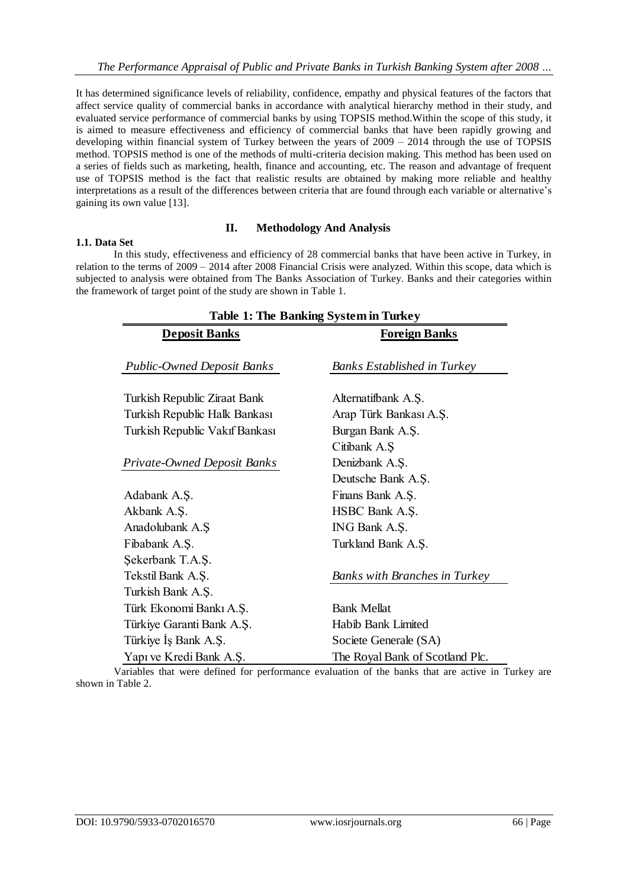It has determined significance levels of reliability, confidence, empathy and physical features of the factors that affect service quality of commercial banks in accordance with analytical hierarchy method in their study, and evaluated service performance of commercial banks by using TOPSIS method.Within the scope of this study, it is aimed to measure effectiveness and efficiency of commercial banks that have been rapidly growing and developing within financial system of Turkey between the years of 2009 – 2014 through the use of TOPSIS method. TOPSIS method is one of the methods of multi-criteria decision making. This method has been used on a series of fields such as marketing, health, finance and accounting, etc. The reason and advantage of frequent use of TOPSIS method is the fact that realistic results are obtained by making more reliable and healthy interpretations as a result of the differences between criteria that are found through each variable or alternative's gaining its own value [13].

## **II. Methodology And Analysis**

## **1.1. Data Set**

In this study, effectiveness and efficiency of 28 commercial banks that have been active in Turkey, in relation to the terms of 2009 – 2014 after 2008 Financial Crisis were analyzed. Within this scope, data which is subjected to analysis were obtained from The Banks Association of Turkey. Banks and their categories within the framework of target point of the study are shown in Table 1.

| <b>Table 1: The Banking System in Turkey</b> |                                                            |  |  |  |  |
|----------------------------------------------|------------------------------------------------------------|--|--|--|--|
| <b>Deposit Banks</b>                         | <b>Foreign Banks</b><br><b>Banks Established in Turkey</b> |  |  |  |  |
| <b>Public-Owned Deposit Banks</b>            |                                                            |  |  |  |  |
| Turkish Republic Ziraat Bank                 | Alternatifbank A.Ş.                                        |  |  |  |  |
| Turkish Republic Halk Bankası                | Arap Türk Bankası A.Ş.                                     |  |  |  |  |
| Turkish Republic Vakıf Bankası               | Burgan Bank A.S.                                           |  |  |  |  |
|                                              | Citibank A.Ş                                               |  |  |  |  |
| Private-Owned Deposit Banks                  | Denizbank A.Ş.                                             |  |  |  |  |
|                                              | Deutsche Bank A.Ş.                                         |  |  |  |  |
| Adabank A.Ş.                                 | Finans Bank A.Ş.                                           |  |  |  |  |
| Akbank A.Ş.                                  | HSBC Bank A.Ş.                                             |  |  |  |  |
| Anadolubank A.Ş                              | ING Bank A.Ş.                                              |  |  |  |  |
| Fibabank A.Ş.                                | Turkland Bank A.Ş.                                         |  |  |  |  |
| Şekerbank T.A.Ş.                             |                                                            |  |  |  |  |
| Tekstil Bank A.Ş.                            | <b>Banks with Branches in Turkey</b>                       |  |  |  |  |
| Turkish Bank A.Ş.                            |                                                            |  |  |  |  |
| Türk Ekonomi Bankı A.Ş.                      | <b>Bank Mellat</b>                                         |  |  |  |  |
| Türkiye Garanti Bank A.Ş.                    | Habib Bank Limited                                         |  |  |  |  |
| Türkiye İş Bank A.Ş.                         | Societe Generale (SA)                                      |  |  |  |  |
| Yapı ve Kredi Bank A.Ş.                      | The Royal Bank of Scotland Plc.                            |  |  |  |  |

Variables that were defined for performance evaluation of the banks that are active in Turkey are shown in Table 2.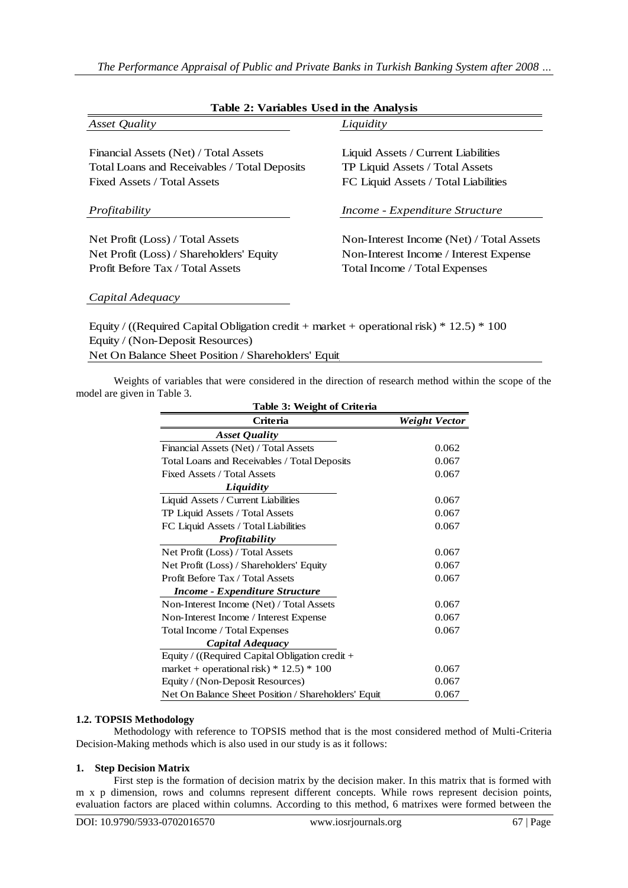| Table 2: Variables Used in the Analysis                                                      |                                          |  |  |  |  |
|----------------------------------------------------------------------------------------------|------------------------------------------|--|--|--|--|
| Asset Quality                                                                                | Liquidity                                |  |  |  |  |
| Financial Assets (Net) / Total Assets                                                        | Liquid Assets / Current Liabilities      |  |  |  |  |
| Total Loans and Receivables / Total Deposits                                                 | TP Liquid Assets / Total Assets          |  |  |  |  |
| Fixed Assets / Total Assets                                                                  | FC Liquid Assets / Total Liabilities     |  |  |  |  |
| Profitability                                                                                | Income - Expenditure Structure           |  |  |  |  |
| Net Profit (Loss) / Total Assets                                                             | Non-Interest Income (Net) / Total Assets |  |  |  |  |
| Net Profit (Loss) / Shareholders' Equity                                                     | Non-Interest Income / Interest Expense   |  |  |  |  |
| Profit Before Tax / Total Assets                                                             | Total Income / Total Expenses            |  |  |  |  |
| Capital Adequacy                                                                             |                                          |  |  |  |  |
| Equity / ((Required Capital Obligation credit + market + operational risk) $*$ 12.5) $*$ 100 |                                          |  |  |  |  |
| Equity / (Non-Deposit Resources)                                                             |                                          |  |  |  |  |
| Net On Balance Sheet Position / Shareholders' Equit                                          |                                          |  |  |  |  |

Weights of variables that were considered in the direction of research method within the scope of the model are given in Table 3.

| Table 3: Weight of Criteria                                  |               |  |  |  |  |
|--------------------------------------------------------------|---------------|--|--|--|--|
| <b>Criteria</b>                                              | Weight Vector |  |  |  |  |
| <b>Asset Quality</b>                                         |               |  |  |  |  |
| Financial Assets (Net) / Total Assets                        | 0.062         |  |  |  |  |
| Total Loans and Receivables / Total Deposits                 | 0.067         |  |  |  |  |
| Fixed Assets / Total Assets                                  | 0.067         |  |  |  |  |
| Liquidity                                                    |               |  |  |  |  |
| Liquid Assets / Current Liabilities                          | 0.067         |  |  |  |  |
| TP Liquid Assets / Total Assets                              | 0.067         |  |  |  |  |
| FC Liquid Assets / Total Liabilities                         | 0.067         |  |  |  |  |
| <b>Profitability</b>                                         |               |  |  |  |  |
| Net Profit (Loss) / Total Assets                             | 0.067         |  |  |  |  |
| Net Profit (Loss) / Shareholders' Equity                     | 0.067         |  |  |  |  |
| Profit Before Tax / Total Assets                             | 0.067         |  |  |  |  |
| <b>Income - Expenditure Structure</b>                        |               |  |  |  |  |
| Non-Interest Income (Net) / Total Assets                     | 0.067         |  |  |  |  |
| Non-Interest Income / Interest Expense                       | 0.067         |  |  |  |  |
| Total Income / Total Expenses                                | 0.067         |  |  |  |  |
| Capital Adequacy                                             |               |  |  |  |  |
| Equity / ((Required Capital Obligation credit +              |               |  |  |  |  |
| market + operational risk) * $12.5$ ) * 100<br>0.067         |               |  |  |  |  |
| Equity / (Non-Deposit Resources)<br>0.067                    |               |  |  |  |  |
| 0.067<br>Net On Balance Sheet Position / Shareholders' Equit |               |  |  |  |  |

## **1.2. TOPSIS Methodology**

Methodology with reference to TOPSIS method that is the most considered method of Multi-Criteria Decision-Making methods which is also used in our study is as it follows:

## **1. Step Decision Matrix**

First step is the formation of decision matrix by the decision maker. In this matrix that is formed with m x p dimension, rows and columns represent different concepts. While rows represent decision points, evaluation factors are placed within columns. According to this method, 6 matrixes were formed between the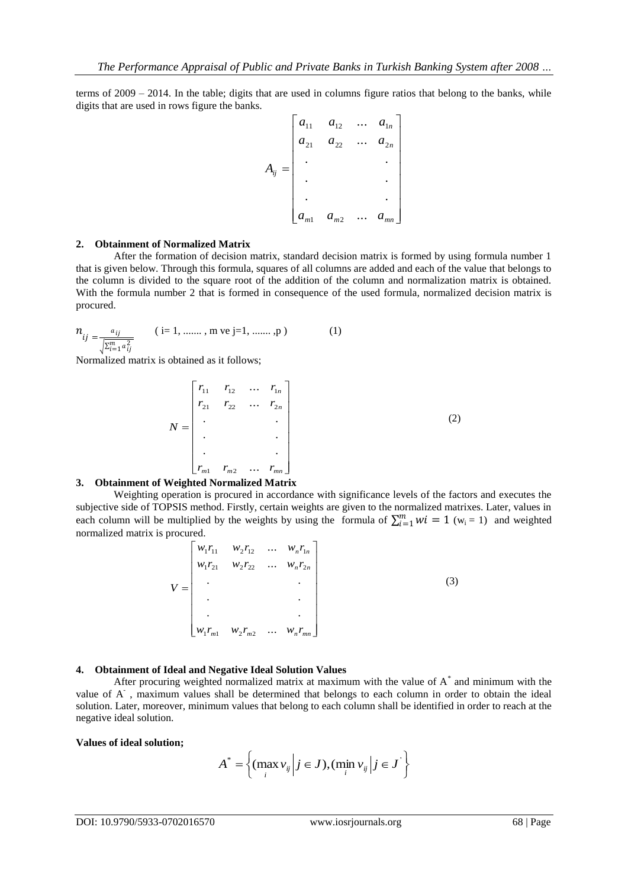terms of 2009 – 2014. In the table; digits that are used in columns figure ratios that belong to the banks, while digits that are used in rows figure the banks.

$$
A_{ij} = \begin{bmatrix} a_{11} & a_{12} & \dots & a_{1n} \\ a_{21} & a_{22} & \dots & a_{2n} \\ \vdots & & & \vdots \\ a_{m1} & a_{m2} & \dots & a_{mn} \end{bmatrix}
$$

#### **2. Obtainment of Normalized Matrix**

After the formation of decision matrix, standard decision matrix is formed by using formula number 1 that is given below. Through this formula, squares of all columns are added and each of the value that belongs to the column is divided to the square root of the addition of the column and normalization matrix is obtained. With the formula number 2 that is formed in consequence of the used formula, normalized decision matrix is procured.

$$
n_{ij} = \frac{a_{ij}}{\sqrt{\sum_{i=1}^{m} a_{ij}^2}}
$$
 (i=1, ......, m ve j=1, ......, p) (1)

Normalized matrix is obtained as it follows;

$$
N = \begin{bmatrix} r_{11} & r_{12} & \dots & r_{1n} \\ r_{21} & r_{22} & \dots & r_{2n} \\ \vdots & & & \vdots \\ \vdots & & & \vdots \\ r_{m1} & r_{m2} & \dots & r_{mn} \end{bmatrix}
$$
 (2)

#### **3. Obtainment of Weighted Normalized Matrix**

Weighting operation is procured in accordance with significance levels of the factors and executes the subjective side of TOPSIS method. Firstly, certain weights are given to the normalized matrixes. Later, values in each column will be multiplied by the weights by using the formula of  $\sum_{i=1}^{m} wi = 1$  (w<sub>i</sub> = 1) and weighted normalized matrix is procured.

$$
V = \begin{bmatrix} w_1 r_{11} & w_2 r_{12} & \dots & w_n r_{1n} \\ w_1 r_{21} & w_2 r_{22} & \dots & w_n r_{2n} \\ \vdots & & & \vdots \\ w_1 r_{m1} & w_2 r_{m2} & \dots & w_n r_{mn} \end{bmatrix}
$$
 (3)

## **4. Obtainment of Ideal and Negative Ideal Solution Values**

After procuring weighted normalized matrix at maximum with the value of A\* and minimum with the value of A<sup>-</sup>, maximum values shall be determined that belongs to each column in order to obtain the ideal solution. Later, moreover, minimum values that belong to each column shall be identified in order to reach at the negative ideal solution.

#### **Values of ideal solution;**

$$
A^* = \left\{ (\max_i v_{ij} \middle| j \in J), (\min_i v_{ij} \middle| j \in J] \right\}
$$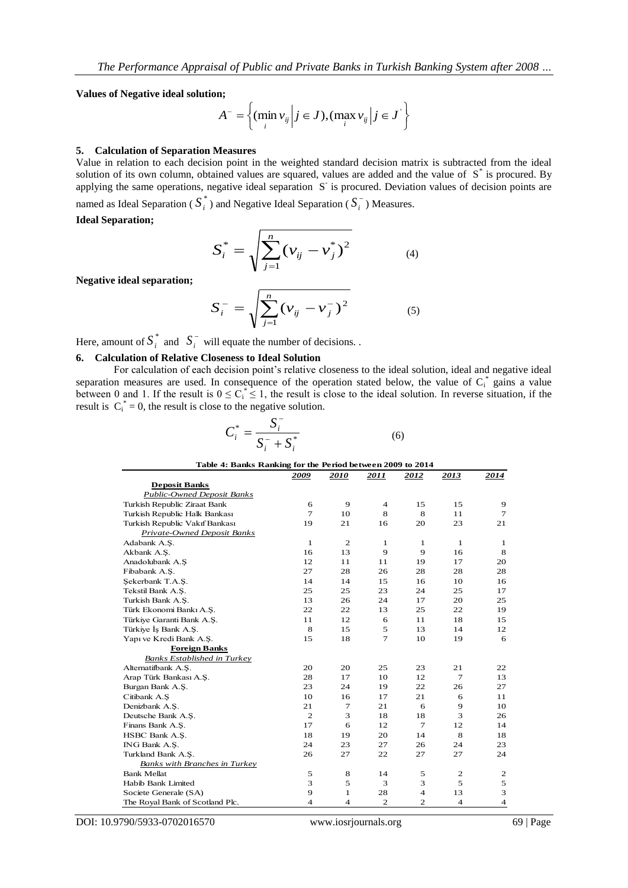**Values of Negative ideal solution;**

$$
A^{-} = \left\{ (\min_{i} v_{ij} \middle| j \in J), (\max_{i} v_{ij} \middle| j \in J^{\prime} \right\}
$$

#### **5. Calculation of Separation Measures**

Value in relation to each decision point in the weighted standard decision matrix is subtracted from the ideal solution of its own column, obtained values are squared, values are added and the value of S<sup>\*</sup> is procured. By applying the same operations, negative ideal separation S<sup>-</sup> is procured. Deviation values of decision points are

named as Ideal Separation ( $S_i^*$ ) and Negative Ideal Separation ( $S_i^-$ ) Measures.

**Ideal Separation;**

$$
S_i^* = \sqrt{\sum_{j=1}^n (v_{ij} - v_j^*)^2}
$$
 (4)

**Negative ideal separation;**

$$
S_i^- = \sqrt{\sum_{j=1}^n (\nu_{ij} - \nu_j^-)^2}
$$
 (5)

Here, amount of  $S_i^*$  and  $S_i^-$  will equate the number of decisions.

## **6. Calculation of Relative Closeness to Ideal Solution**

For calculation of each decision point's relative closeness to the ideal solution, ideal and negative ideal separation measures are used. In consequence of the operation stated below, the value of  $C_i^*$  gains a value between 0 and 1. If the result is  $0 \leq C_i^* \leq 1$ , the result is close to the ideal solution. In reverse situation, if the result is  $C_i^* = 0$ , the result is close to the negative solution.

$$
C_i^* = \frac{S_i^-}{S_i^- + S_i^*}
$$
 (6)

| Table 4: Banks Ranking for the Period between 2009 to 2014 |                |                         |                |                |                |                         |  |  |
|------------------------------------------------------------|----------------|-------------------------|----------------|----------------|----------------|-------------------------|--|--|
|                                                            | 2009           | 2010                    | 2011           | 2012           | 2013           | 2014                    |  |  |
| <b>Deposit Banks</b>                                       |                |                         |                |                |                |                         |  |  |
| Public-Owned Deposit Banks                                 |                |                         |                |                |                |                         |  |  |
| Turkish Republic Ziraat Bank                               | 6              | 9                       | $\overline{4}$ | 15             | 15             | 9                       |  |  |
| Turkish Republic Halk Bankası                              | $\overline{7}$ | 10                      | 8              | 8              | 11             | 7                       |  |  |
| Turkish Republic Vakıf Bankası                             | 19             | 21                      | 16             | 20             | 23             | 21                      |  |  |
| Private-Owned Deposit Banks                                |                |                         |                |                |                |                         |  |  |
| Adabank A.S.                                               | $\mathbf{1}$   | $\mathfrak{2}$          | 1              | 1              | 1              | 1                       |  |  |
| Akbank A.Ş.                                                | 16             | 13                      | 9              | 9              | 16             | 8                       |  |  |
| Anadolubank A.Ş                                            | 12             | 11                      | 11             | 19             | 17             | 20                      |  |  |
| Fibabank A.S.                                              | 27             | 28                      | 26             | 28             | 28             | 28                      |  |  |
| Sekerbank T.A.S.                                           | 14             | 14                      | 15             | 16             | 10             | 16                      |  |  |
| Tekstil Bank A.Ş.                                          | 25             | 25                      | 23             | 24             | 25             | 17                      |  |  |
| Turkish Bank A.S.                                          | 13             | 26                      | 24             | 17             | 20             | 25                      |  |  |
| Türk Ekonomi Bankı A.Ş.                                    | 22             | 22                      | 13             | 25             | 22             | 19                      |  |  |
| Türkiye Garanti Bank A.S.                                  | 11             | 12                      | 6              | 11             | 18             | 15                      |  |  |
| Türkiye İş Bank A.Ş.                                       | 8              | 15                      | 5              | 13             | 14             | 12                      |  |  |
| Yapı ve Kredi Bank A.Ş.                                    | 15             | 18                      | $\overline{7}$ | 10             | 19             | 6                       |  |  |
| <b>Foreign Banks</b>                                       |                |                         |                |                |                |                         |  |  |
| Banks Established in Turkey                                |                |                         |                |                |                |                         |  |  |
| Alternatifbank A.S.                                        | 20             | 20                      | 25             | 23             | 21             | 22                      |  |  |
| Arap Türk Bankası A.Ş.                                     | 28             | 17                      | 10             | 12             | $\tau$         | 13                      |  |  |
| Burgan Bank A.S.                                           | 23             | 24                      | 19             | 22             | 26             | 27                      |  |  |
| Citibank A.S                                               | 10             | 16                      | 17             | 21             | 6              | 11                      |  |  |
| Denizbank A.S.                                             | 21             | $\overline{7}$          | 21             | 6              | 9              | 10                      |  |  |
| Deutsche Bank A.Ş.                                         | $\overline{2}$ | 3                       | 18             | 18             | 3              | 26                      |  |  |
| Finans Bank A.S.                                           | 17             | 6                       | 12             | $\tau$         | 12             | 14                      |  |  |
| HSBC Bank A.S.                                             | 18             | 19                      | 20             | 14             | 8              | 18                      |  |  |
| ING Bank A.Ş.                                              | 24             | 23                      | 27             | 26             | 24             | 23                      |  |  |
| Turkland Bank A.S.                                         | 26             | 27                      | 22             | 27             | 27             | 24                      |  |  |
| Banks with Branches in Turkey                              |                |                         |                |                |                |                         |  |  |
| <b>Bank Mellat</b>                                         | 5              | 8                       | 14             | 5              | $\mathbf 2$    | 2                       |  |  |
| Habib Bank Limited                                         | 3              | 5                       | 3              | 3              | 5              | 5                       |  |  |
| Societe Generale (SA)                                      | 9              | $\mathbf{1}$            | 28             | $\overline{4}$ | 13             | 3                       |  |  |
| The Royal Bank of Scotland Plc.                            | $\overline{4}$ | $\overline{\mathbf{4}}$ | $\overline{c}$ | $\overline{2}$ | $\overline{4}$ | $\overline{\mathbf{4}}$ |  |  |